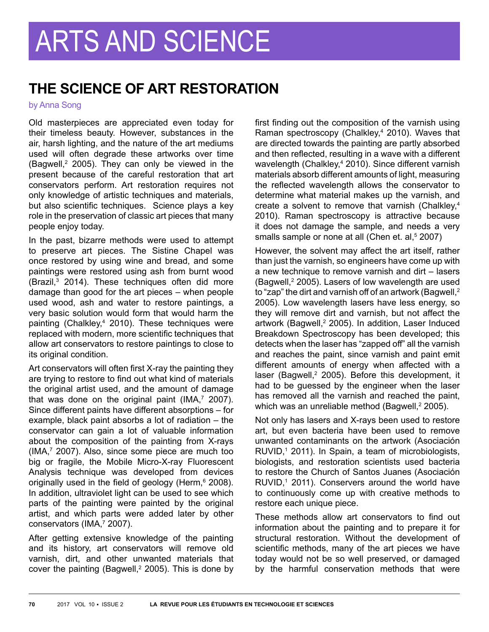## **THE SCIENCE OF ART RESTORATION**

by Anna Song

Old masterpieces are appreciated even today for their timeless beauty. However, substances in the air, harsh lighting, and the nature of the art mediums used will often degrade these artworks over time  $(Bagwell, <sup>2</sup> 2005)$ . They can only be viewed in the present because of the careful restoration that art conservators perform. Art restoration requires not only knowledge of artistic techniques and materials, but also scientific techniques. Science plays a key role in the preservation of classic art pieces that many people enjoy today.

In the past, bizarre methods were used to attempt to preserve art pieces. The Sistine Chapel was once restored by using wine and bread, and some paintings were restored using ash from burnt wood (Brazil,3 2014). These techniques often did more damage than good for the art pieces – when people used wood, ash and water to restore paintings, a very basic solution would form that would harm the painting (Chalkley,<sup>4</sup> 2010). These techniques were replaced with modern, more scientific techniques that allow art conservators to restore paintings to close to its original condition.

Art conservators will often first X-ray the painting they are trying to restore to find out what kind of materials the original artist used, and the amount of damage that was done on the original paint (IMA, $7$  2007). Since different paints have different absorptions – for example, black paint absorbs a lot of radiation – the conservator can gain a lot of valuable information about the composition of the painting from X-rays (IMA,7 2007). Also, since some piece are much too big or fragile, the Mobile Micro-X-ray Fluorescent Analysis technique was developed from devices originally used in the field of geology (Herm,<sup>6</sup> 2008). In addition, ultraviolet light can be used to see which parts of the painting were painted by the original artist, and which parts were added later by other conservators (IMA,<sup>7</sup> 2007).

After getting extensive knowledge of the painting and its history, art conservators will remove old varnish, dirt, and other unwanted materials that cover the painting (Bagwell, $2$  2005). This is done by first finding out the composition of the varnish using Raman spectroscopy (Chalkley,<sup>4</sup> 2010). Waves that are directed towards the painting are partly absorbed and then reflected, resulting in a wave with a different wavelength (Chalkley,<sup>4</sup> 2010). Since different varnish materials absorb different amounts of light, measuring the reflected wavelength allows the conservator to determine what material makes up the varnish, and create a solvent to remove that varnish (Chalkley,<sup>4</sup>) 2010). Raman spectroscopy is attractive because it does not damage the sample, and needs a very smalls sample or none at all (Chen et. al,<sup>5</sup> 2007)

However, the solvent may affect the art itself, rather than just the varnish, so engineers have come up with a new technique to remove varnish and dirt – lasers (Bagwell, $2$  2005). Lasers of low wavelength are used to "zap" the dirt and varnish off of an artwork (Bagwell,<sup>2</sup>) 2005). Low wavelength lasers have less energy, so they will remove dirt and varnish, but not affect the artwork (Bagwell,<sup>2</sup> 2005). In addition, Laser Induced Breakdown Spectroscopy has been developed; this detects when the laser has "zapped off" all the varnish and reaches the paint, since varnish and paint emit different amounts of energy when affected with a laser (Bagwell,<sup>2</sup> 2005). Before this development, it had to be guessed by the engineer when the laser has removed all the varnish and reached the paint, which was an unreliable method (Bagwell,<sup>2</sup> 2005).

Not only has lasers and X-rays been used to restore art, but even bacteria have been used to remove unwanted contaminants on the artwork (Asociación RUVID,<sup>1</sup> 2011). In Spain, a team of microbiologists, biologists, and restoration scientists used bacteria to restore the Church of Santos Juanes (Asociación  $RUVID<sub>1</sub>$  2011). Conservers around the world have to continuously come up with creative methods to restore each unique piece.

These methods allow art conservators to find out information about the painting and to prepare it for structural restoration. Without the development of scientific methods, many of the art pieces we have today would not be so well preserved, or damaged by the harmful conservation methods that were